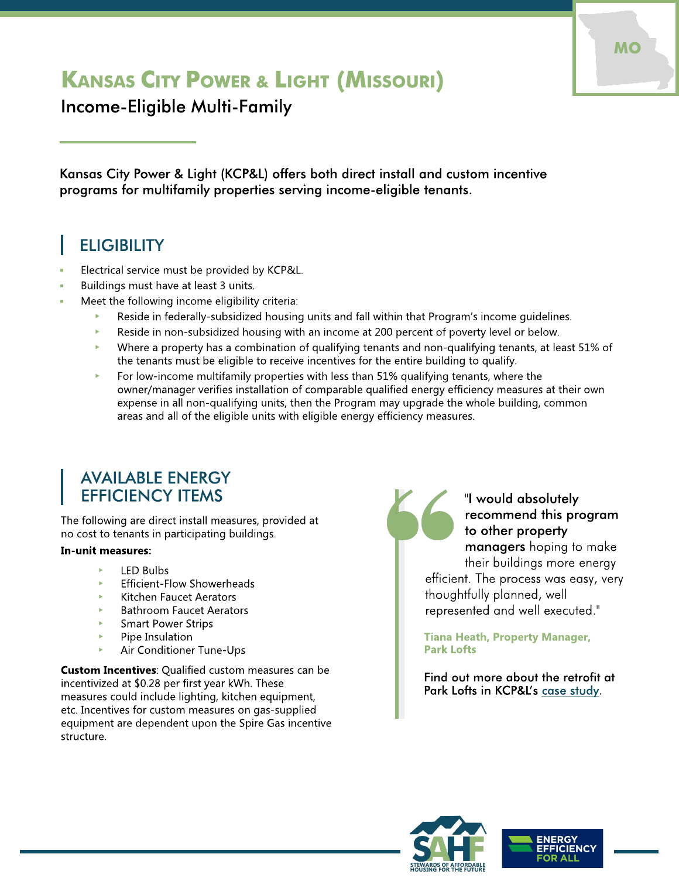# KANSAS CITY POWER & LIGHT (MISSOURI)

Income-Eligible Multi-Family

Kansas City Power & Light (KCP&L) offers both direct install and custom incentive programs for multifamily properties serving income-eligible tenants.

## **ELIGIBILITY**

- Electrical service must be provided by KCP&L.
- Buildings must have at least 3 units.
- Meet the following income eligibility criteria:
	- Reside in federally-subsidized housing units and fall within that Program's income guidelines.
	- $\blacktriangleright$  Reside in non-subsidized housing with an income at 200 percent of poverty level or below.
	- $\blacktriangleright$  Where a property has a combination of qualifying tenants and non-qualifying tenants, at least 51% of the tenants must be eligible to receive incentives for the entire building to qualify.
	- $\blacktriangleright$  For low-income multifamily properties with less than 51% qualifying tenants, where the owner/manager verifies installation of comparable qualified energy efficiency measures at their own expense in all non-qualifying units, then the Program may upgrade the whole building, common areas and all of the eligible units with eligible energy efficiency measures.

### **AVAILABLE ENERGY** EFFICIENCY ITEMS

The following are direct install measures, provided at no cost to tenants in participating buildings.

#### In-unit measures:

- LED Bulbs
- Efficient-Flow Showerheads
- Kitchen Faucet Aerators
- Bathroom Faucet Aerators
- Smart Power Strips
- Pipe Insulation
- Air Conditioner Tune-Ups

**Custom Incentives: Qualified custom measures can be** incentivized at \$0.28 per first year kWh. These measures could include lighting, kitchen equipment, etc. Incentives for custom measures on gas-supplied equipment are dependent upon the Spire Gas incentive structure.



#### "I would absolutely recommend this program to other property

managers hoping to make their buildings more energy efficient. The process was easy, very thoughtfully planned, well represented and well executed."

Tiana Heath, Property Manager, Park Lofts

Find out more about the retrofit at Park Lofts in KCP&L's [case](https://www.kcpl.com/-/media/indexedmedia/save_energy_and_money/home/mo_energy_efficiency/kcpl_2016_iemf-testimonial_v4_web_release.pdf?la=en) [study](https://www.kcpl.com/-/media/indexedmedia/save_energy_and_money/home/mo_energy_efficiency/kcpl_2016_iemf-testimonial_v4_web_release.pdf?la=en).





MO